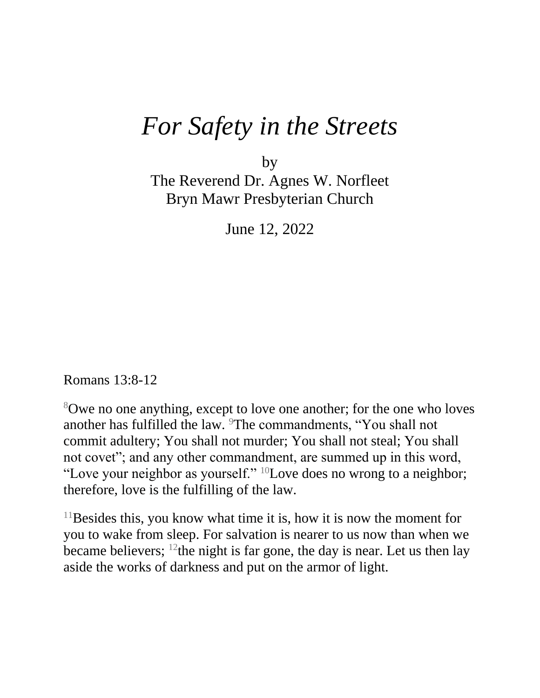## *For Safety in the Streets*

by

The Reverend Dr. Agnes W. Norfleet Bryn Mawr Presbyterian Church

June 12, 2022

Romans 13:8-12

<sup>8</sup>Owe no one anything, except to love one another; for the one who loves another has fulfilled the law. <sup>9</sup>The commandments, "You shall not commit adultery; You shall not murder; You shall not steal; You shall not covet"; and any other commandment, are summed up in this word, "Love your neighbor as yourself."  $10$ Love does no wrong to a neighbor; therefore, love is the fulfilling of the law.

 $11$ Besides this, you know what time it is, how it is now the moment for you to wake from sleep. For salvation is nearer to us now than when we became believers;  $12$ <sup>the</sup> night is far gone, the day is near. Let us then lay aside the works of darkness and put on the armor of light.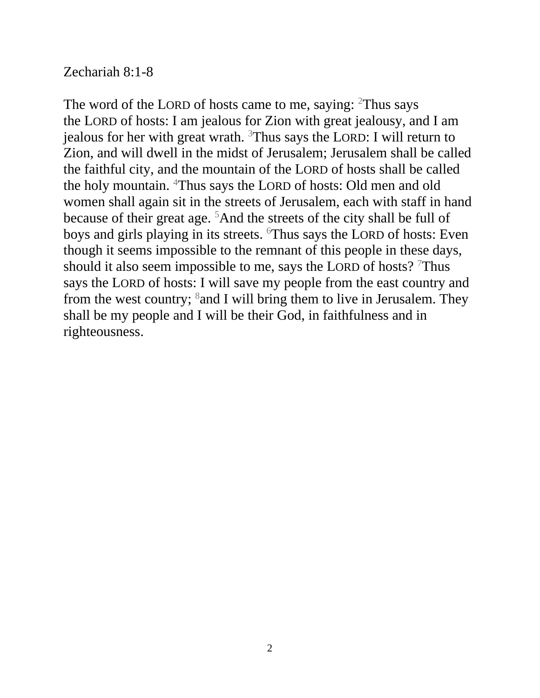## Zechariah 8:1-8

The word of the LORD of hosts came to me, saying:  $2$ Thus says the LORD of hosts: I am jealous for Zion with great jealousy, and I am jealous for her with great wrath.  $3$ Thus says the LORD: I will return to Zion, and will dwell in the midst of Jerusalem; Jerusalem shall be called the faithful city, and the mountain of the LORD of hosts shall be called the holy mountain. <sup>4</sup>Thus says the LORD of hosts: Old men and old women shall again sit in the streets of Jerusalem, each with staff in hand because of their great age. <sup>5</sup>And the streets of the city shall be full of boys and girls playing in its streets. <sup>6</sup>Thus says the LORD of hosts: Even though it seems impossible to the remnant of this people in these days, should it also seem impossible to me, says the LORD of hosts?  $\overline{7}$ Thus says the LORD of hosts: I will save my people from the east country and from the west country;  $8$  and I will bring them to live in Jerusalem. They shall be my people and I will be their God, in faithfulness and in righteousness.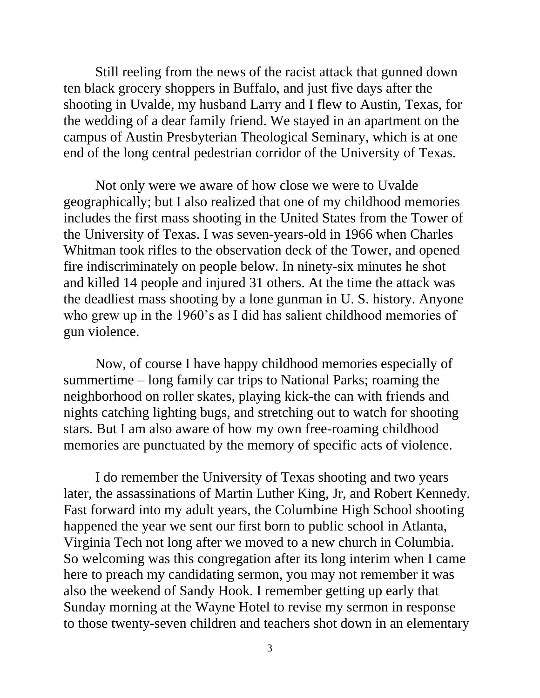Still reeling from the news of the racist attack that gunned down ten black grocery shoppers in Buffalo, and just five days after the shooting in Uvalde, my husband Larry and I flew to Austin, Texas, for the wedding of a dear family friend. We stayed in an apartment on the campus of Austin Presbyterian Theological Seminary, which is at one end of the long central pedestrian corridor of the University of Texas.

 Not only were we aware of how close we were to Uvalde geographically; but I also realized that one of my childhood memories includes the first mass shooting in the United States from the Tower of the University of Texas. I was seven-years-old in 1966 when Charles Whitman took rifles to the observation deck of the Tower, and opened fire indiscriminately on people below. In ninety-six minutes he shot and killed 14 people and injured 31 others. At the time the attack was the deadliest mass shooting by a lone gunman in U. S. history. Anyone who grew up in the 1960's as I did has salient childhood memories of gun violence.

Now, of course I have happy childhood memories especially of summertime – long family car trips to National Parks; roaming the neighborhood on roller skates, playing kick-the can with friends and nights catching lighting bugs, and stretching out to watch for shooting stars. But I am also aware of how my own free-roaming childhood memories are punctuated by the memory of specific acts of violence.

 I do remember the University of Texas shooting and two years later, the assassinations of Martin Luther King, Jr, and Robert Kennedy. Fast forward into my adult years, the Columbine High School shooting happened the year we sent our first born to public school in Atlanta, Virginia Tech not long after we moved to a new church in Columbia. So welcoming was this congregation after its long interim when I came here to preach my candidating sermon, you may not remember it was also the weekend of Sandy Hook. I remember getting up early that Sunday morning at the Wayne Hotel to revise my sermon in response to those twenty-seven children and teachers shot down in an elementary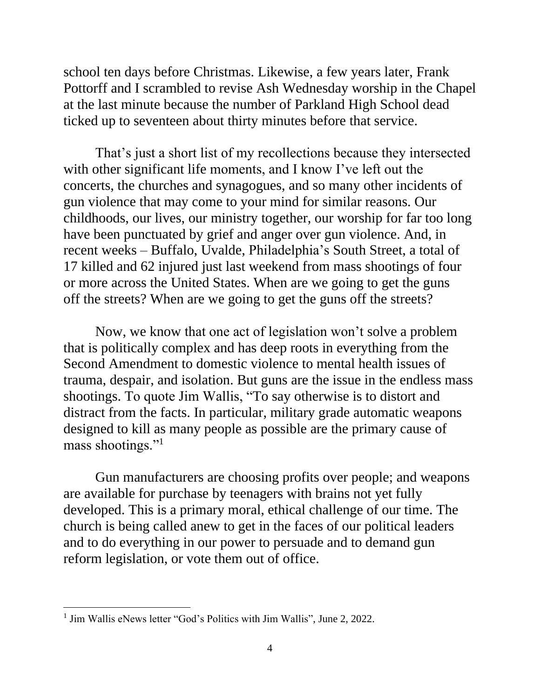school ten days before Christmas. Likewise, a few years later, Frank Pottorff and I scrambled to revise Ash Wednesday worship in the Chapel at the last minute because the number of Parkland High School dead ticked up to seventeen about thirty minutes before that service.

 That's just a short list of my recollections because they intersected with other significant life moments, and I know I've left out the concerts, the churches and synagogues, and so many other incidents of gun violence that may come to your mind for similar reasons. Our childhoods, our lives, our ministry together, our worship for far too long have been punctuated by grief and anger over gun violence. And, in recent weeks – Buffalo, Uvalde, Philadelphia's South Street, a total of 17 killed and 62 injured just last weekend from mass shootings of four or more across the United States. When are we going to get the guns off the streets? When are we going to get the guns off the streets?

 Now, we know that one act of legislation won't solve a problem that is politically complex and has deep roots in everything from the Second Amendment to domestic violence to mental health issues of trauma, despair, and isolation. But guns are the issue in the endless mass shootings. To quote Jim Wallis, "To say otherwise is to distort and distract from the facts. In particular, military grade automatic weapons designed to kill as many people as possible are the primary cause of mass shootings."<sup>1</sup>

 Gun manufacturers are choosing profits over people; and weapons are available for purchase by teenagers with brains not yet fully developed. This is a primary moral, ethical challenge of our time. The church is being called anew to get in the faces of our political leaders and to do everything in our power to persuade and to demand gun reform legislation, or vote them out of office.

<sup>&</sup>lt;sup>1</sup> Jim Wallis eNews letter "God's Politics with Jim Wallis", June 2, 2022.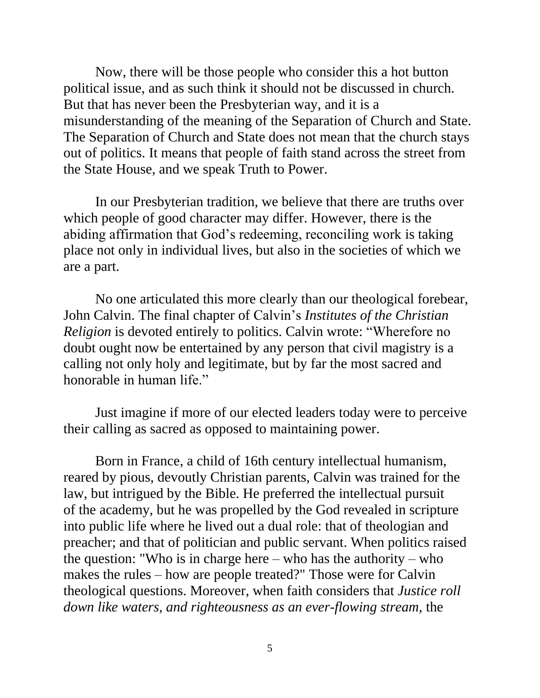Now, there will be those people who consider this a hot button political issue, and as such think it should not be discussed in church. But that has never been the Presbyterian way, and it is a misunderstanding of the meaning of the Separation of Church and State. The Separation of Church and State does not mean that the church stays out of politics. It means that people of faith stand across the street from the State House, and we speak Truth to Power.

 In our Presbyterian tradition, we believe that there are truths over which people of good character may differ. However, there is the abiding affirmation that God's redeeming, reconciling work is taking place not only in individual lives, but also in the societies of which we are a part.

 No one articulated this more clearly than our theological forebear, John Calvin. The final chapter of Calvin's *Institutes of the Christian Religion* is devoted entirely to politics. Calvin wrote: "Wherefore no doubt ought now be entertained by any person that civil magistry is a calling not only holy and legitimate, but by far the most sacred and honorable in human life."

 Just imagine if more of our elected leaders today were to perceive their calling as sacred as opposed to maintaining power.

Born in France, a child of 16th century intellectual humanism, reared by pious, devoutly Christian parents, Calvin was trained for the law, but intrigued by the Bible. He preferred the intellectual pursuit of the academy, but he was propelled by the God revealed in scripture into public life where he lived out a dual role: that of theologian and preacher; and that of politician and public servant. When politics raised the question: "Who is in charge here – who has the authority – who makes the rules – how are people treated?" Those were for Calvin theological questions. Moreover, when faith considers that *Justice roll down like waters, and righteousness as an ever-flowing stream,* the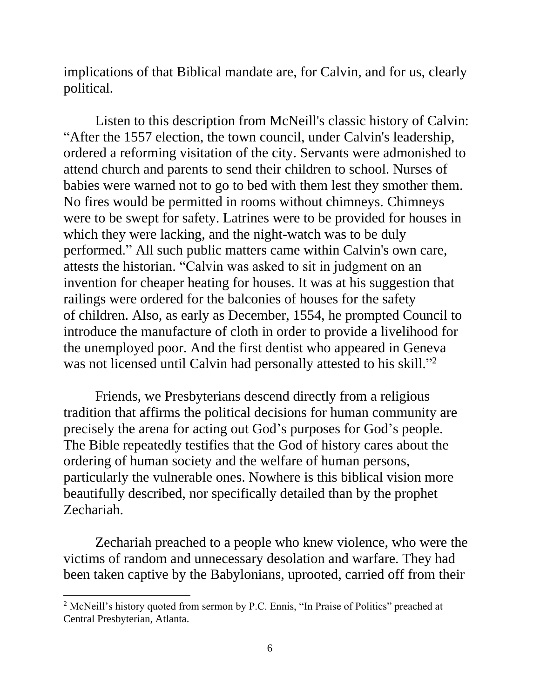implications of that Biblical mandate are, for Calvin, and for us, clearly political.

 Listen to this description from McNeill's classic history of Calvin: "After the 1557 election, the town council, under Calvin's leadership, ordered a reforming visitation of the city. Servants were admonished to attend church and parents to send their children to school. Nurses of babies were warned not to go to bed with them lest they smother them. No fires would be permitted in rooms without chimneys. Chimneys were to be swept for safety. Latrines were to be provided for houses in which they were lacking, and the night-watch was to be duly performed." All such public matters came within Calvin's own care, attests the historian. "Calvin was asked to sit in judgment on an invention for cheaper heating for houses. It was at his suggestion that railings were ordered for the balconies of houses for the safety of children. Also, as early as December, 1554, he prompted Council to introduce the manufacture of cloth in order to provide a livelihood for the unemployed poor. And the first dentist who appeared in Geneva was not licensed until Calvin had personally attested to his skill."<sup>2</sup>

 Friends, we Presbyterians descend directly from a religious tradition that affirms the political decisions for human community are precisely the arena for acting out God's purposes for God's people. The Bible repeatedly testifies that the God of history cares about the ordering of human society and the welfare of human persons, particularly the vulnerable ones. Nowhere is this biblical vision more beautifully described, nor specifically detailed than by the prophet Zechariah.

Zechariah preached to a people who knew violence, who were the victims of random and unnecessary desolation and warfare. They had been taken captive by the Babylonians, uprooted, carried off from their

<sup>&</sup>lt;sup>2</sup> McNeill's history quoted from sermon by P.C. Ennis, "In Praise of Politics" preached at Central Presbyterian, Atlanta.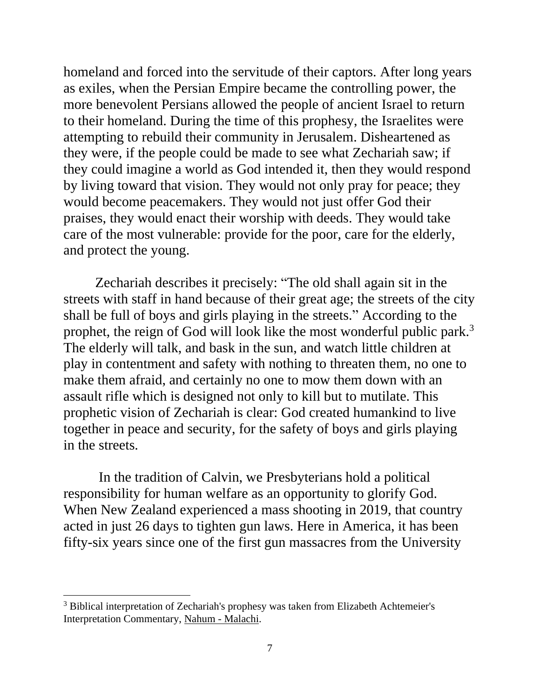homeland and forced into the servitude of their captors. After long years as exiles, when the Persian Empire became the controlling power, the more benevolent Persians allowed the people of ancient Israel to return to their homeland. During the time of this prophesy, the Israelites were attempting to rebuild their community in Jerusalem. Disheartened as they were, if the people could be made to see what Zechariah saw; if they could imagine a world as God intended it, then they would respond by living toward that vision. They would not only pray for peace; they would become peacemakers. They would not just offer God their praises, they would enact their worship with deeds. They would take care of the most vulnerable: provide for the poor, care for the elderly, and protect the young.

 Zechariah describes it precisely: "The old shall again sit in the streets with staff in hand because of their great age; the streets of the city shall be full of boys and girls playing in the streets." According to the prophet, the reign of God will look like the most wonderful public park.<sup>3</sup> The elderly will talk, and bask in the sun, and watch little children at play in contentment and safety with nothing to threaten them, no one to make them afraid, and certainly no one to mow them down with an assault rifle which is designed not only to kill but to mutilate. This prophetic vision of Zechariah is clear: God created humankind to live together in peace and security, for the safety of boys and girls playing in the streets.

 In the tradition of Calvin, we Presbyterians hold a political responsibility for human welfare as an opportunity to glorify God. When New Zealand experienced a mass shooting in 2019, that country acted in just 26 days to tighten gun laws. Here in America, it has been fifty-six years since one of the first gun massacres from the University

<sup>&</sup>lt;sup>3</sup> Biblical interpretation of Zechariah's prophesy was taken from Elizabeth Achtemeier's Interpretation Commentary, Nahum - Malachi.